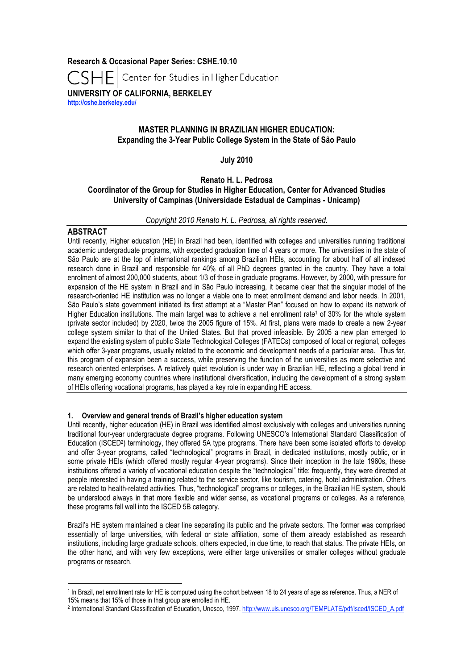**Research & Occasional Paper Series: CSHE.10.10** Center for Studies in Higher Education **UNIVERSITY OF CALIFORNIA, BERKELEY http://cshe.berkeley.edu/**

# **MASTER PLANNING IN BRAZILIAN HIGHER EDUCATION: Expanding the 3-Year Public College System in the State of São Paulo**

### **July 2010**

## **Renato H. L. Pedrosa**

### **Coordinator of the Group for Studies in Higher Education, Center for Advanced Studies University of Campinas (Universidade Estadual de Campinas - Unicamp)**

#### *Copyright 2010 Renato H. L. Pedrosa, all rights reserved.*

### **ABSTRACT**

Until recently, Higher education (HE) in Brazil had been, identified with colleges and universities running traditional academic undergraduate programs, with expected graduation time of 4 years or more. The universities in the state of São Paulo are at the top of international rankings among Brazilian HEIs, accounting for about half of all indexed research done in Brazil and responsible for 40% of all PhD degrees granted in the country. They have a total enrolment of almost 200,000 students, about 1/3 of those in graduate programs. However, by 2000, with pressure for expansion of the HE system in Brazil and in São Paulo increasing, it became clear that the singular model of the research-oriented HE institution was no longer a viable one to meet enrollment demand and labor needs. In 2001, São Paulo's state government initiated its first attempt at a "Master Plan" focused on how to expand its network of Higher Education institutions. The main target was to achieve a net enrollment rate<sup>1</sup> of 30% for the whole system (private sector included) by 2020, twice the 2005 figure of 15%. At first, plans were made to create a new 2-year college system similar to that of the United States. But that proved infeasible. By 2005 a new plan emerged to expand the existing system of public State Technological Colleges (FATECs) composed of local or regional, colleges which offer 3-year programs, usually related to the economic and development needs of a particular area. Thus far, this program of expansion been a success, while preserving the function of the universities as more selective and research oriented enterprises. A relatively quiet revolution is under way in Brazilian HE, reflecting a global trend in many emerging economy countries where institutional diversification, including the development of a strong system of HEIs offering vocational programs, has played a key role in expanding HE access.

#### **1. Overview and general trends of Brazil's higher education system**

Until recently, higher education (HE) in Brazil was identified almost exclusively with colleges and universities running traditional four-year undergraduate degree programs. Following UNESCO's International Standard Classification of Education (ISCED2) terminology, they offered 5A type programs. There have been some isolated efforts to develop and offer 3-year programs, called "technological" programs in Brazil, in dedicated institutions, mostly public, or in some private HEIs (which offered mostly regular 4-year programs). Since their inception in the late 1960s, these institutions offered a variety of vocational education despite the "technological" title: frequently, they were directed at people interested in having a training related to the service sector, like tourism, catering, hotel administration. Others are related to health-related activities. Thus, "technological" programs or colleges, in the Brazilian HE system, should be understood always in that more flexible and wider sense, as vocational programs or colleges. As a reference, these programs fell well into the ISCED 5B category.

Brazil's HE system maintained a clear line separating its public and the private sectors. The former was comprised essentially of large universities, with federal or state affiliation, some of them already established as research institutions, including large graduate schools, others expected, in due time, to reach that status. The private HEIs, on the other hand, and with very few exceptions, were either large universities or smaller colleges without graduate programs or research.

 $\overline{a}$ 

<sup>1</sup> In Brazil, net enrollment rate for HE is computed using the cohort between 18 to 24 years of age as reference. Thus, a NER of

<sup>15%</sup> means that 15% of those in that group are enrolled in HE.

<sup>2</sup> International Standard Classification of Education, Unesco, 1997. http://www.uis.unesco.org/TEMPLATE/pdf/isced/ISCED\_A.pdf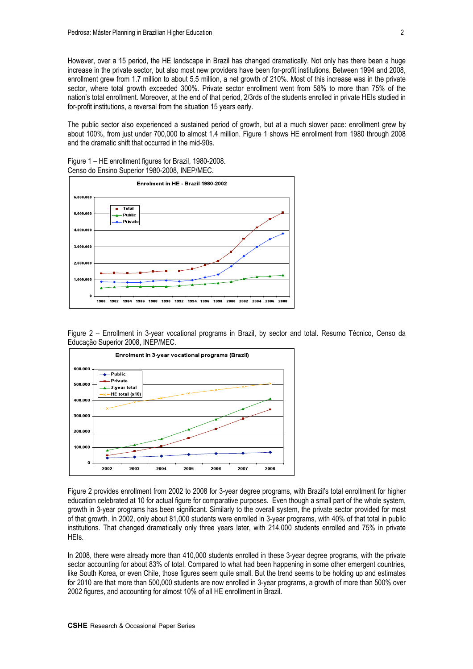However, over a 15 period, the HE landscape in Brazil has changed dramatically. Not only has there been a huge increase in the private sector, but also most new providers have been for-profit institutions. Between 1994 and 2008, enrollment grew from 1.7 million to about 5.5 million, a net growth of 210%. Most of this increase was in the private sector, where total growth exceeded 300%. Private sector enrollment went from 58% to more than 75% of the nation's total enrollment. Moreover, at the end of that period, 2/3rds of the students enrolled in private HEIs studied in for-profit institutions, a reversal from the situation 15 years early.

The public sector also experienced a sustained period of growth, but at a much slower pace: enrollment grew by about 100%, from just under 700,000 to almost 1.4 million. Figure 1 shows HE enrollment from 1980 through 2008 and the dramatic shift that occurred in the mid-90s.

Figure 1 – HE enrollment figures for Brazil, 1980-2008. Censo do Ensino Superior 1980-2008, INEP/MEC.



Figure 2 – Enrollment in 3-year vocational programs in Brazil, by sector and total. Resumo Técnico, Censo da Educação Superior 2008, INEP/MEC.



Figure 2 provides enrollment from 2002 to 2008 for 3-year degree programs, with Brazil's total enrollment for higher education celebrated at 10 for actual figure for comparative purposes. Even though a small part of the whole system, growth in 3-year programs has been significant. Similarly to the overall system, the private sector provided for most of that growth. In 2002, only about 81,000 students were enrolled in 3-year programs, with 40% of that total in public institutions. That changed dramatically only three years later, with 214,000 students enrolled and 75% in private HEIs.

In 2008, there were already more than 410,000 students enrolled in these 3-year degree programs, with the private sector accounting for about 83% of total. Compared to what had been happening in some other emergent countries, like South Korea, or even Chile, those figures seem quite small. But the trend seems to be holding up and estimates for 2010 are that more than 500,000 students are now enrolled in 3-year programs, a growth of more than 500% over 2002 figures, and accounting for almost 10% of all HE enrollment in Brazil.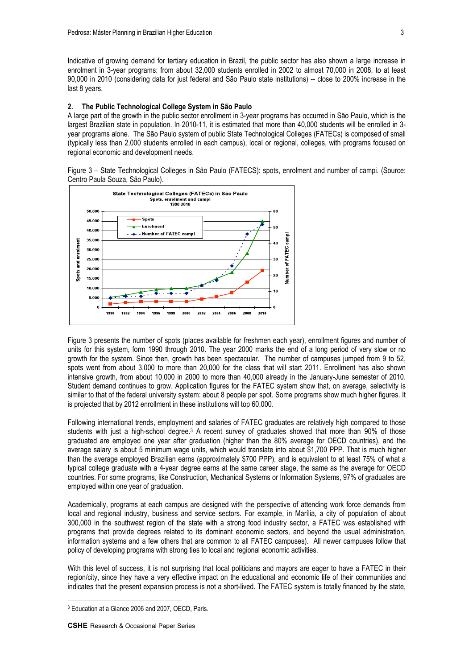Indicative of growing demand for tertiary education in Brazil, the public sector has also shown a large increase in enrolment in 3-year programs: from about 32,000 students enrolled in 2002 to almost 70,000 in 2008, to at least 90,000 in 2010 (considering data for just federal and São Paulo state institutions) -- close to 200% increase in the last 8 years.

#### **2. The Public Technological College System in São Paulo**

A large part of the growth in the public sector enrollment in 3-year programs has occurred in São Paulo, which is the largest Brazilian state in population. In 2010-11, it is estimated that more than 40,000 students will be enrolled in 3 year programs alone. The São Paulo system of public State Technological Colleges (FATECs) is composed of small (typically less than 2,000 students enrolled in each campus), local or regional, colleges, with programs focused on regional economic and development needs.

Figure 3 – State Technological Colleges in São Paulo (FATECS): spots, enrolment and number of campi. (Source: Centro Paula Souza, São Paulo).



Figure 3 presents the number of spots (places available for freshmen each year), enrollment figures and number of units for this system, form 1990 through 2010. The year 2000 marks the end of a long period of very slow or no growth for the system. Since then, growth has been spectacular. The number of campuses jumped from 9 to 52, spots went from about 3,000 to more than 20,000 for the class that will start 2011. Enrollment has also shown intensive growth, from about 10,000 in 2000 to more than 40,000 already in the January-June semester of 2010. Student demand continues to grow. Application figures for the FATEC system show that, on average, selectivity is similar to that of the federal university system: about 8 people per spot. Some programs show much higher figures. It is projected that by 2012 enrollment in these institutions will top 60,000.

Following international trends, employment and salaries of FATEC graduates are relatively high compared to those students with just a high-school degree.<sup>3</sup> A recent survey of graduates showed that more than 90% of those graduated are employed one year after graduation (higher than the 80% average for OECD countries), and the average salary is about 5 minimum wage units, which would translate into about \$1,700 PPP. That is much higher than the average employed Brazilian earns (approximately \$700 PPP), and is equivalent to at least 75% of what a typical college graduate with a 4-year degree earns at the same career stage, the same as the average for OECD countries. For some programs, like Construction, Mechanical Systems or Information Systems, 97% of graduates are employed within one year of graduation.

Academically, programs at each campus are designed with the perspective of attending work force demands from local and regional industry, business and service sectors. For example, in Marília, a city of population of about 300,000 in the southwest region of the state with a strong food industry sector, a FATEC was established with programs that provide degrees related to its dominant economic sectors, and beyond the usual administration, information systems and a few others that are common to all FATEC campuses). All newer campuses follow that policy of developing programs with strong ties to local and regional economic activities.

With this level of success, it is not surprising that local politicians and mayors are eager to have a FATEC in their region/city, since they have a very effective impact on the educational and economic life of their communities and indicates that the present expansion process is not a short-lived. The FATEC system is totally financed by the state,

 $\overline{a}$ 

<sup>3</sup> Education at a Glance 2006 and 2007, OECD, Paris.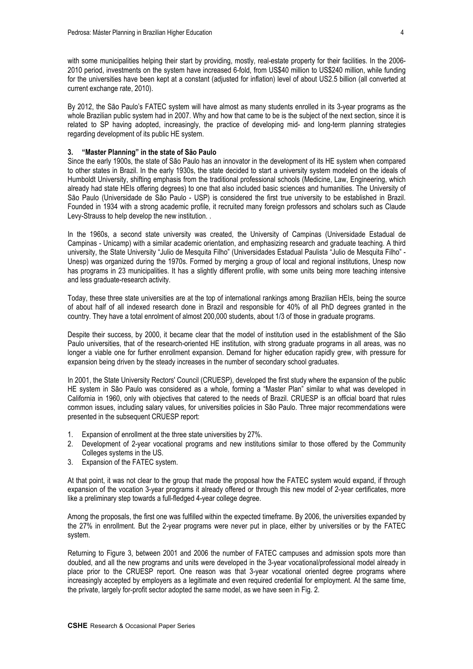with some municipalities helping their start by providing, mostly, real-estate property for their facilities. In the 2006- 2010 period, investments on the system have increased 6-fold, from US\$40 million to US\$240 million, while funding for the universities have been kept at a constant (adjusted for inflation) level of about US2.5 billion (all converted at current exchange rate, 2010).

By 2012, the São Paulo's FATEC system will have almost as many students enrolled in its 3-year programs as the whole Brazilian public system had in 2007. Why and how that came to be is the subject of the next section, since it is related to SP having adopted, increasingly, the practice of developing mid- and long-term planning strategies regarding development of its public HE system.

#### **3. "Master Planning" in the state of São Paulo**

Since the early 1900s, the state of São Paulo has an innovator in the development of its HE system when compared to other states in Brazil. In the early 1930s, the state decided to start a university system modeled on the ideals of Humboldt University, shifting emphasis from the traditional professional schools (Medicine, Law, Engineering, which already had state HEIs offering degrees) to one that also included basic sciences and humanities. The University of São Paulo (Universidade de São Paulo - USP) is considered the first true university to be established in Brazil. Founded in 1934 with a strong academic profile, it recruited many foreign professors and scholars such as Claude Levy-Strauss to help develop the new institution. .

In the 1960s, a second state university was created, the University of Campinas (Universidade Estadual de Campinas - Unicamp) with a similar academic orientation, and emphasizing research and graduate teaching. A third university, the State University "Julio de Mesquita Filho" (Universidades Estadual Paulista "Julio de Mesquita Filho" - Unesp) was organized during the 1970s. Formed by merging a group of local and regional institutions, Unesp now has programs in 23 municipalities. It has a slightly different profile, with some units being more teaching intensive and less graduate-research activity.

Today, these three state universities are at the top of international rankings among Brazilian HEIs, being the source of about half of all indexed research done in Brazil and responsible for 40% of all PhD degrees granted in the country. They have a total enrolment of almost 200,000 students, about 1/3 of those in graduate programs.

Despite their success, by 2000, it became clear that the model of institution used in the establishment of the São Paulo universities, that of the research-oriented HE institution, with strong graduate programs in all areas, was no longer a viable one for further enrollment expansion. Demand for higher education rapidly grew, with pressure for expansion being driven by the steady increases in the number of secondary school graduates.

In 2001, the State University Rectors' Council (CRUESP), developed the first study where the expansion of the public HE system in São Paulo was considered as a whole, forming a "Master Plan" similar to what was developed in California in 1960, only with objectives that catered to the needs of Brazil. CRUESP is an official board that rules common issues, including salary values, for universities policies in São Paulo. Three major recommendations were presented in the subsequent CRUESP report:

- 1. Expansion of enrollment at the three state universities by 27%.
- 2. Development of 2-year vocational programs and new institutions similar to those offered by the Community Colleges systems in the US.
- 3. Expansion of the FATEC system.

At that point, it was not clear to the group that made the proposal how the FATEC system would expand, if through expansion of the vocation 3-year programs it already offered or through this new model of 2-year certificates, more like a preliminary step towards a full-fledged 4-year college degree.

Among the proposals, the first one was fulfilled within the expected timeframe. By 2006, the universities expanded by the 27% in enrollment. But the 2-year programs were never put in place, either by universities or by the FATEC system.

Returning to Figure 3, between 2001 and 2006 the number of FATEC campuses and admission spots more than doubled, and all the new programs and units were developed in the 3-year vocational/professional model already in place prior to the CRUESP report. One reason was that 3-year vocational oriented degree programs where increasingly accepted by employers as a legitimate and even required credential for employment. At the same time, the private, largely for-profit sector adopted the same model, as we have seen in Fig. 2.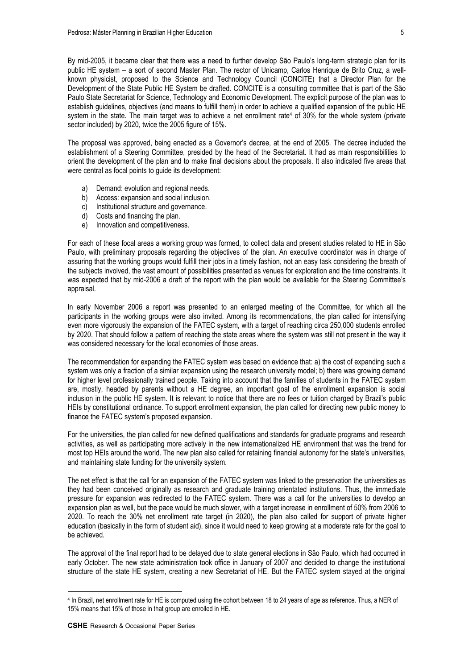By mid-2005, it became clear that there was a need to further develop São Paulo's long-term strategic plan for its public HE system – a sort of second Master Plan. The rector of Unicamp, Carlos Henrique de Brito Cruz, a wellknown physicist, proposed to the Science and Technology Council (CONCITE) that a Director Plan for the Development of the State Public HE System be drafted. CONCITE is a consulting committee that is part of the São Paulo State Secretariat for Science, Technology and Economic Development. The explicit purpose of the plan was to establish guidelines, objectives (and means to fulfill them) in order to achieve a qualified expansion of the public HE system in the state. The main target was to achieve a net enrollment rate<sup>4</sup> of 30% for the whole system (private sector included) by 2020, twice the 2005 figure of 15%.

The proposal was approved, being enacted as a Governor's decree, at the end of 2005. The decree included the establishment of a Steering Committee, presided by the head of the Secretariat. It had as main responsibilities to orient the development of the plan and to make final decisions about the proposals. It also indicated five areas that were central as focal points to guide its development:

- a) Demand: evolution and regional needs.
- b) Access: expansion and social inclusion.
- c) Institutional structure and governance.
- d) Costs and financing the plan.
- e) Innovation and competitiveness.

For each of these focal areas a working group was formed, to collect data and present studies related to HE in São Paulo, with preliminary proposals regarding the objectives of the plan. An executive coordinator was in charge of assuring that the working groups would fulfill their jobs in a timely fashion, not an easy task considering the breath of the subjects involved, the vast amount of possibilities presented as venues for exploration and the time constraints. It was expected that by mid-2006 a draft of the report with the plan would be available for the Steering Committee's appraisal.

In early November 2006 a report was presented to an enlarged meeting of the Committee, for which all the participants in the working groups were also invited. Among its recommendations, the plan called for intensifying even more vigorously the expansion of the FATEC system, with a target of reaching circa 250,000 students enrolled by 2020. That should follow a pattern of reaching the state areas where the system was still not present in the way it was considered necessary for the local economies of those areas.

The recommendation for expanding the FATEC system was based on evidence that: a) the cost of expanding such a system was only a fraction of a similar expansion using the research university model; b) there was growing demand for higher level professionally trained people. Taking into account that the families of students in the FATEC system are, mostly, headed by parents without a HE degree, an important goal of the enrollment expansion is social inclusion in the public HE system. It is relevant to notice that there are no fees or tuition charged by Brazil's public HEIs by constitutional ordinance. To support enrollment expansion, the plan called for directing new public money to finance the FATEC system's proposed expansion.

For the universities, the plan called for new defined qualifications and standards for graduate programs and research activities, as well as participating more actively in the new internationalized HE environment that was the trend for most top HEIs around the world. The new plan also called for retaining financial autonomy for the state's universities, and maintaining state funding for the university system.

The net effect is that the call for an expansion of the FATEC system was linked to the preservation the universities as they had been conceived originally as research and graduate training orientated institutions. Thus, the immediate pressure for expansion was redirected to the FATEC system. There was a call for the universities to develop an expansion plan as well, but the pace would be much slower, with a target increase in enrollment of 50% from 2006 to 2020. To reach the 30% net enrollment rate target (in 2020), the plan also called for support of private higher education (basically in the form of student aid), since it would need to keep growing at a moderate rate for the goal to be achieved.

The approval of the final report had to be delayed due to state general elections in São Paulo, which had occurred in early October. The new state administration took office in January of 2007 and decided to change the institutional structure of the state HE system, creating a new Secretariat of HE. But the FATEC system stayed at the original

 $\overline{a}$ 

<sup>4</sup> In Brazil, net enrollment rate for HE is computed using the cohort between 18 to 24 years of age as reference. Thus, a NER of 15% means that 15% of those in that group are enrolled in HE.